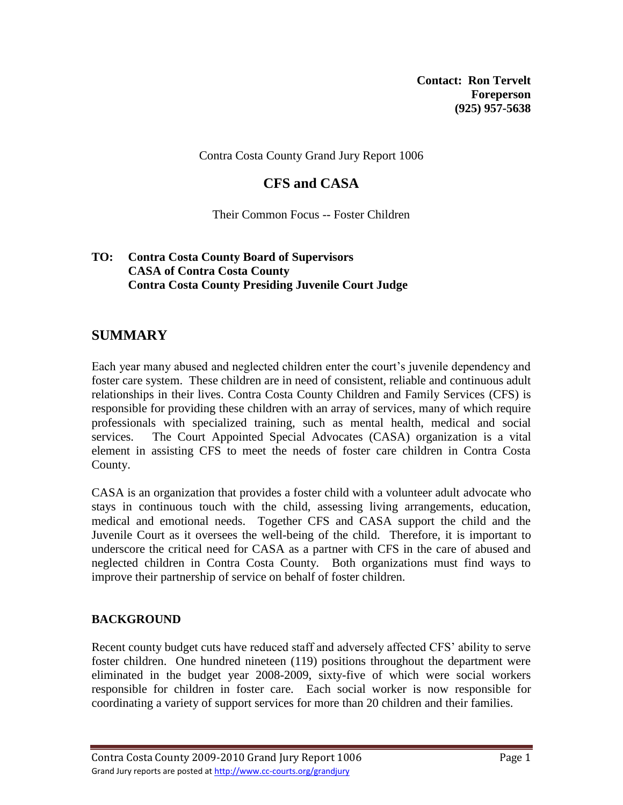**Contact: Ron Tervelt Foreperson (925) 957-5638**

Contra Costa County Grand Jury Report 1006

# **CFS and CASA**

Their Common Focus -- Foster Children

#### **TO: Contra Costa County Board of Supervisors CASA of Contra Costa County Contra Costa County Presiding Juvenile Court Judge**

## **SUMMARY**

Each year many abused and neglected children enter the court's juvenile dependency and foster care system. These children are in need of consistent, reliable and continuous adult relationships in their lives. Contra Costa County Children and Family Services (CFS) is responsible for providing these children with an array of services, many of which require professionals with specialized training, such as mental health, medical and social services. The Court Appointed Special Advocates (CASA) organization is a vital element in assisting CFS to meet the needs of foster care children in Contra Costa County.

CASA is an organization that provides a foster child with a volunteer adult advocate who stays in continuous touch with the child, assessing living arrangements, education, medical and emotional needs. Together CFS and CASA support the child and the Juvenile Court as it oversees the well-being of the child. Therefore, it is important to underscore the critical need for CASA as a partner with CFS in the care of abused and neglected children in Contra Costa County. Both organizations must find ways to improve their partnership of service on behalf of foster children.

## **BACKGROUND**

Recent county budget cuts have reduced staff and adversely affected CFS' ability to serve foster children. One hundred nineteen (119) positions throughout the department were eliminated in the budget year 2008-2009, sixty-five of which were social workers responsible for children in foster care. Each social worker is now responsible for coordinating a variety of support services for more than 20 children and their families.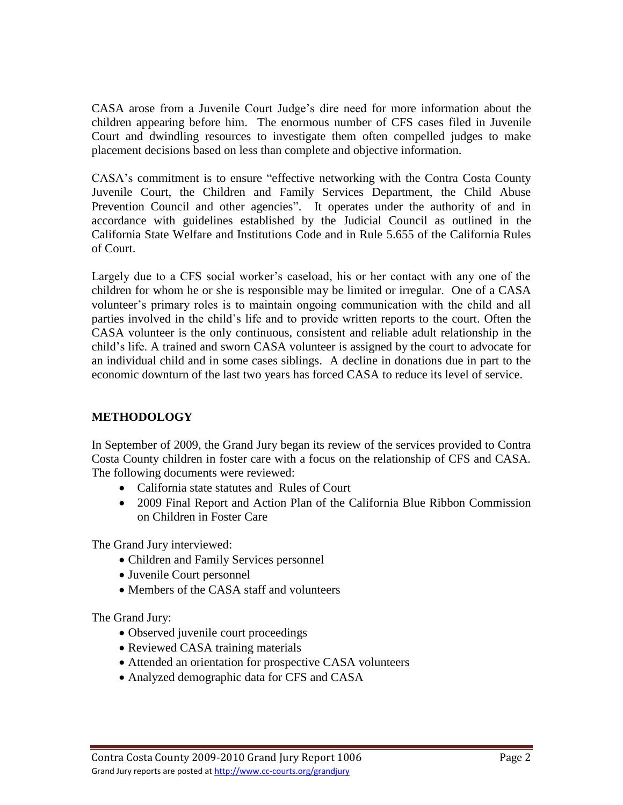CASA arose from a Juvenile Court Judge's dire need for more information about the children appearing before him. The enormous number of CFS cases filed in Juvenile Court and dwindling resources to investigate them often compelled judges to make placement decisions based on less than complete and objective information.

CASA's commitment is to ensure "effective networking with the Contra Costa County Juvenile Court, the Children and Family Services Department, the Child Abuse Prevention Council and other agencies". It operates under the authority of and in accordance with guidelines established by the Judicial Council as outlined in the California State Welfare and Institutions Code and in Rule 5.655 of the California Rules of Court.

Largely due to a CFS social worker's caseload, his or her contact with any one of the children for whom he or she is responsible may be limited or irregular. One of a CASA volunteer's primary roles is to maintain ongoing communication with the child and all parties involved in the child's life and to provide written reports to the court. Often the CASA volunteer is the only continuous, consistent and reliable adult relationship in the child's life. A trained and sworn CASA volunteer is assigned by the court to advocate for an individual child and in some cases siblings. A decline in donations due in part to the economic downturn of the last two years has forced CASA to reduce its level of service.

## **METHODOLOGY**

In September of 2009, the Grand Jury began its review of the services provided to Contra Costa County children in foster care with a focus on the relationship of CFS and CASA. The following documents were reviewed:

- California state statutes and Rules of Court
- 2009 Final Report and Action Plan of the California Blue Ribbon Commission on Children in Foster Care

The Grand Jury interviewed:

- Children and Family Services personnel
- Juvenile Court personnel
- Members of the CASA staff and volunteers

The Grand Jury:

- Observed juvenile court proceedings
- Reviewed CASA training materials
- Attended an orientation for prospective CASA volunteers
- Analyzed demographic data for CFS and CASA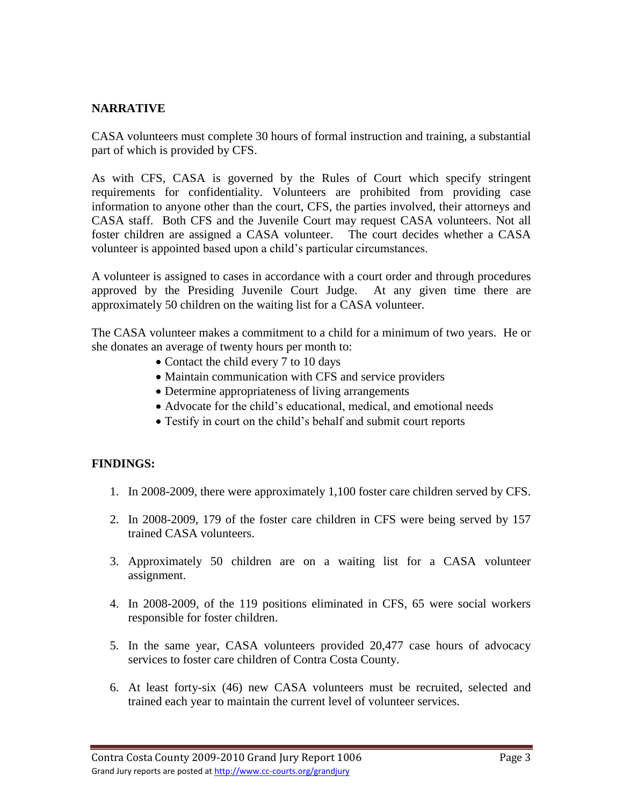#### **NARRATIVE**

CASA volunteers must complete 30 hours of formal instruction and training, a substantial part of which is provided by CFS.

As with CFS, CASA is governed by the Rules of Court which specify stringent requirements for confidentiality. Volunteers are prohibited from providing case information to anyone other than the court, CFS, the parties involved, their attorneys and CASA staff. Both CFS and the Juvenile Court may request CASA volunteers. Not all foster children are assigned a CASA volunteer. The court decides whether a CASA volunteer is appointed based upon a child's particular circumstances.

A volunteer is assigned to cases in accordance with a court order and through procedures approved by the Presiding Juvenile Court Judge. At any given time there are approximately 50 children on the waiting list for a CASA volunteer.

The CASA volunteer makes a commitment to a child for a minimum of two years. He or she donates an average of twenty hours per month to:

- Contact the child every 7 to 10 days
- Maintain communication with CFS and service providers
- Determine appropriateness of living arrangements
- Advocate for the child's educational, medical, and emotional needs
- Testify in court on the child's behalf and submit court reports

#### **FINDINGS:**

- 1. In 2008-2009, there were approximately 1,100 foster care children served by CFS.
- 2. In 2008-2009, 179 of the foster care children in CFS were being served by 157 trained CASA volunteers.
- 3. Approximately 50 children are on a waiting list for a CASA volunteer assignment.
- 4. In 2008-2009, of the 119 positions eliminated in CFS, 65 were social workers responsible for foster children.
- 5. In the same year, CASA volunteers provided 20,477 case hours of advocacy services to foster care children of Contra Costa County.
- 6. At least forty-six (46) new CASA volunteers must be recruited, selected and trained each year to maintain the current level of volunteer services.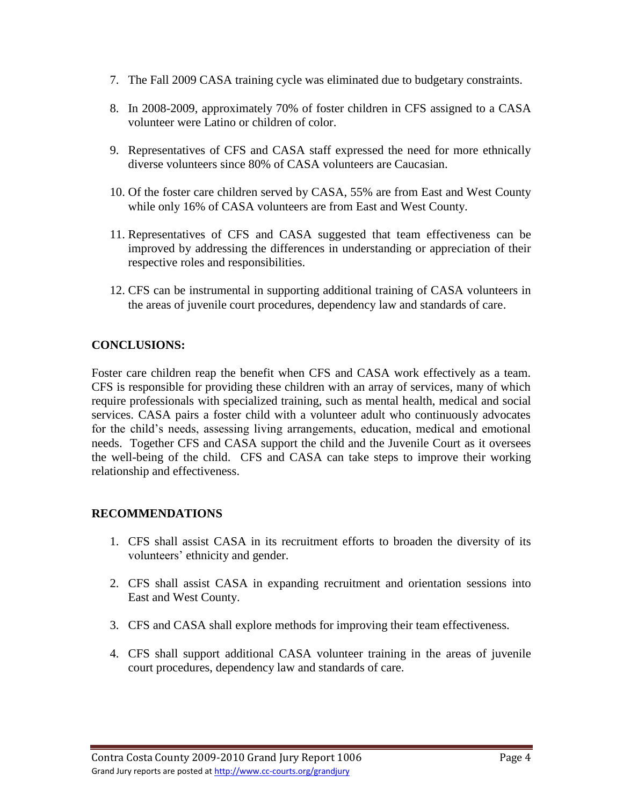- 7. The Fall 2009 CASA training cycle was eliminated due to budgetary constraints.
- 8. In 2008-2009, approximately 70% of foster children in CFS assigned to a CASA volunteer were Latino or children of color.
- 9. Representatives of CFS and CASA staff expressed the need for more ethnically diverse volunteers since 80% of CASA volunteers are Caucasian.
- 10. Of the foster care children served by CASA, 55% are from East and West County while only 16% of CASA volunteers are from East and West County.
- 11. Representatives of CFS and CASA suggested that team effectiveness can be improved by addressing the differences in understanding or appreciation of their respective roles and responsibilities.
- 12. CFS can be instrumental in supporting additional training of CASA volunteers in the areas of juvenile court procedures, dependency law and standards of care.

## **CONCLUSIONS:**

Foster care children reap the benefit when CFS and CASA work effectively as a team. CFS is responsible for providing these children with an array of services, many of which require professionals with specialized training, such as mental health, medical and social services. CASA pairs a foster child with a volunteer adult who continuously advocates for the child's needs, assessing living arrangements, education, medical and emotional needs. Together CFS and CASA support the child and the Juvenile Court as it oversees the well-being of the child. CFS and CASA can take steps to improve their working relationship and effectiveness.

## **RECOMMENDATIONS**

- 1. CFS shall assist CASA in its recruitment efforts to broaden the diversity of its volunteers' ethnicity and gender.
- 2. CFS shall assist CASA in expanding recruitment and orientation sessions into East and West County.
- 3. CFS and CASA shall explore methods for improving their team effectiveness.
- 4. CFS shall support additional CASA volunteer training in the areas of juvenile court procedures, dependency law and standards of care.